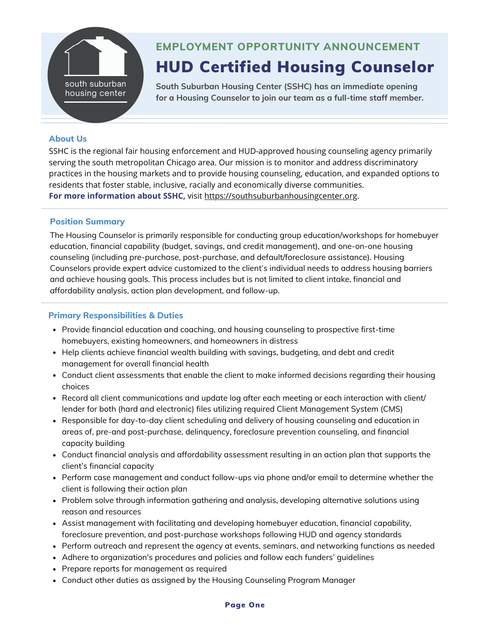

# HUD Certified Housing Counselor **EMPLOYMENT OPPORTUNITY ANNOUNCEMENT**

**South Suburban Housing Center (SSHC) has an immediate opening for a Housing Counselor to join our team as a full-time staff member.**

### **About Us**

SSHC is the regional fair housing enforcement and HUD-approved housing counseling agency primarily serving the south metropolitan Chicago area. Our mission is to monitor and address discriminatory practices in the housing markets and to provide housing counseling, education, and expanded options to residents that foster stable, inclusive, racially and economically diverse communities. **For more information about SSHC,** visit [https://southsuburbanhousingcenter.org](https://southsuburbanhousingcenter.org/).

#### **Position Summary**

The Housing Counselor is primarily responsible for conducting group education/workshops for homebuyer education, financial capability (budget, savings, and credit management), and one-on-one housing counseling (including pre-purchase, post-purchase, and default/foreclosure assistance). Housing Counselors provide expert advice customized to the client's individual needs to address housing barriers and achieve housing goals. This process includes but is not limited to client intake, financial and affordability analysis, action plan development, and follow-up.

# **Primary Responsibilities & Duties**

- Provide financial education and coaching, and housing counseling to prospective first-time homebuyers, existing homeowners, and homeowners in distress
- Help clients achieve financial wealth building with savings, budgeting, and debt and credit management for overall financial health
- Conduct client assessments that enable the client to make informed decisions regarding their housing choices
- Record all client communications and update log after each meeting or each interaction with client/ lender for both (hard and electronic) files utilizing required Client Management System (CMS)
- Responsible for day-to-day client scheduling and delivery of housing counseling and education in areas of, pre-and post-purchase, delinquency, foreclosure prevention counseling, and financial capacity building
- Conduct financial analysis and affordability assessment resulting in an action plan that supports the client's financial capacity
- Perform case management and conduct follow-ups via phone and/or email to determine whether the client is following their action plan
- Problem solve through information gathering and analysis, developing alternative solutions using reason and resources
- Assist management with facilitating and developing homebuyer education, financial capability, foreclosure prevention, and post-purchase workshops following HUD and agency standards
- Perform outreach and represent the agency at events, seminars, and networking functions as needed
- Adhere to organization's procedures and policies and follow each funders' guidelines
- Prepare reports for management as required
- Conduct other duties as assigned by the Housing Counseling Program Manager